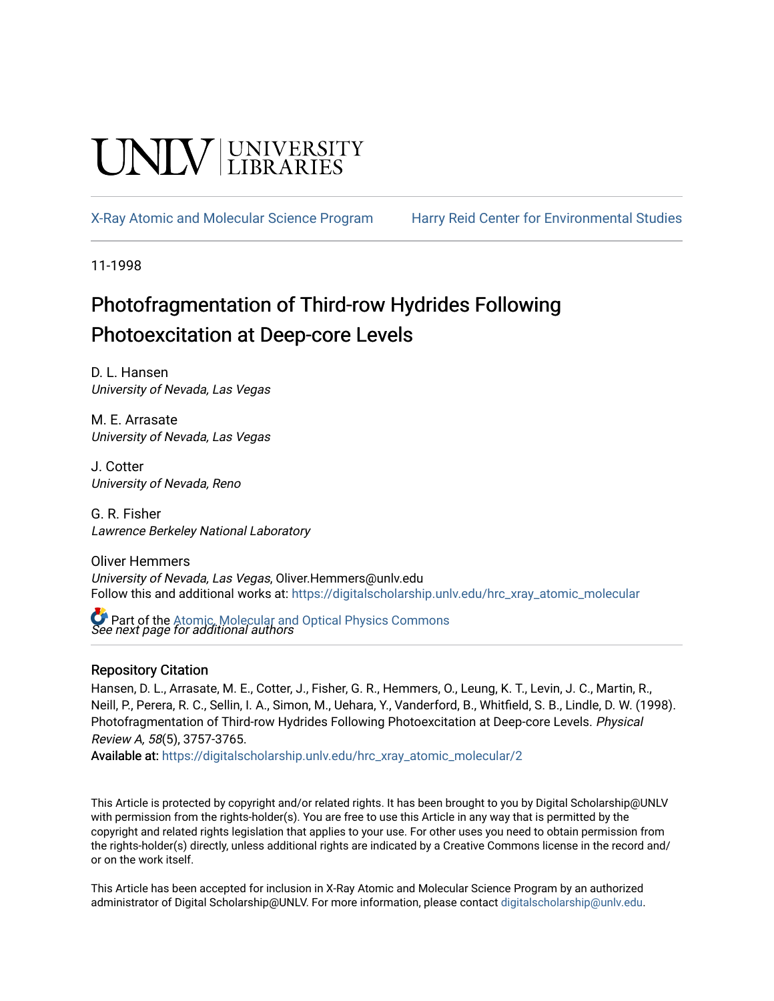# UNIV UNIVERSITY

[X-Ray Atomic and Molecular Science Program](https://digitalscholarship.unlv.edu/hrc_xray_atomic_molecular) [Harry Reid Center for Environmental Studies](https://digitalscholarship.unlv.edu/hrc) 

11-1998

# Photofragmentation of Third-row Hydrides Following Photoexcitation at Deep-core Levels

D. L. Hansen University of Nevada, Las Vegas

M. E. Arrasate University of Nevada, Las Vegas

J. Cotter University of Nevada, Reno

G. R. Fisher Lawrence Berkeley National Laboratory

Oliver Hemmers University of Nevada, Las Vegas, Oliver.Hemmers@unlv.edu Follow this and additional works at: [https://digitalscholarship.unlv.edu/hrc\\_xray\\_atomic\\_molecular](https://digitalscholarship.unlv.edu/hrc_xray_atomic_molecular?utm_source=digitalscholarship.unlv.edu%2Fhrc_xray_atomic_molecular%2F2&utm_medium=PDF&utm_campaign=PDFCoverPages)

 $\bullet$  Part of the Atomic, Molecular and Optical Physics Commons<br>*See next page for additional authors* 

## Repository Citation

Hansen, D. L., Arrasate, M. E., Cotter, J., Fisher, G. R., Hemmers, O., Leung, K. T., Levin, J. C., Martin, R., Neill, P., Perera, R. C., Sellin, I. A., Simon, M., Uehara, Y., Vanderford, B., Whitfield, S. B., Lindle, D. W. (1998). Photofragmentation of Third-row Hydrides Following Photoexcitation at Deep-core Levels. Physical Review A, 58(5), 3757-3765.

Available at: [https://digitalscholarship.unlv.edu/hrc\\_xray\\_atomic\\_molecular/2](https://digitalscholarship.unlv.edu/hrc_xray_atomic_molecular/2)

This Article is protected by copyright and/or related rights. It has been brought to you by Digital Scholarship@UNLV with permission from the rights-holder(s). You are free to use this Article in any way that is permitted by the copyright and related rights legislation that applies to your use. For other uses you need to obtain permission from the rights-holder(s) directly, unless additional rights are indicated by a Creative Commons license in the record and/ or on the work itself.

This Article has been accepted for inclusion in X-Ray Atomic and Molecular Science Program by an authorized administrator of Digital Scholarship@UNLV. For more information, please contact [digitalscholarship@unlv.edu.](mailto:digitalscholarship@unlv.edu)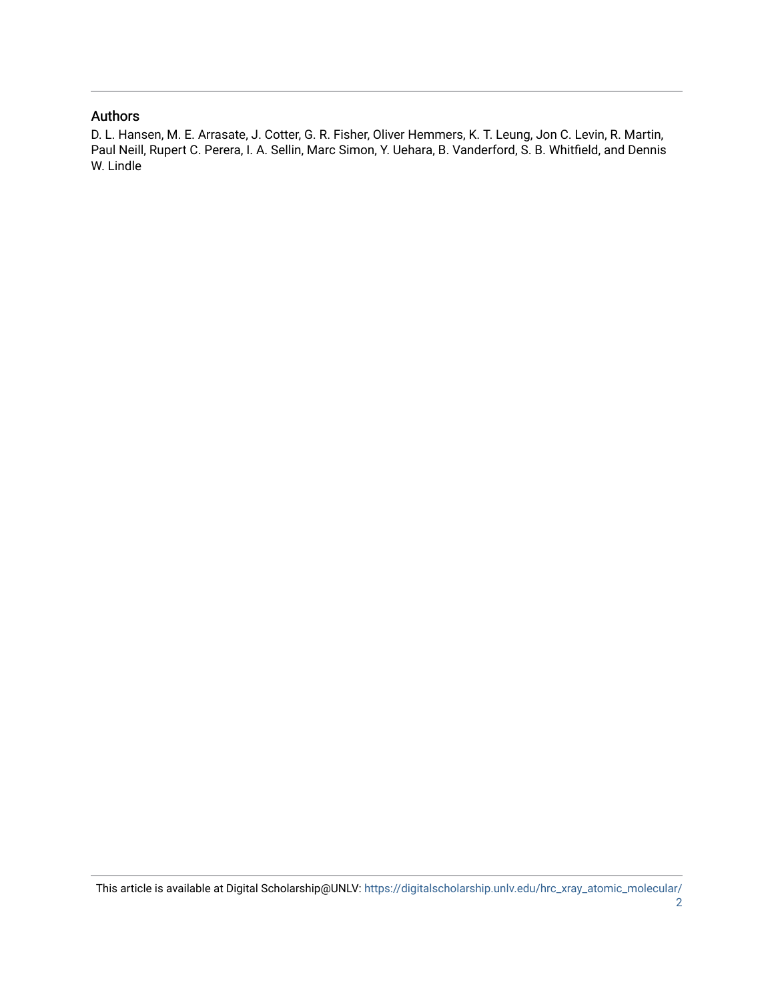### Authors

D. L. Hansen, M. E. Arrasate, J. Cotter, G. R. Fisher, Oliver Hemmers, K. T. Leung, Jon C. Levin, R. Martin, Paul Neill, Rupert C. Perera, I. A. Sellin, Marc Simon, Y. Uehara, B. Vanderford, S. B. Whitfield, and Dennis W. Lindle

This article is available at Digital Scholarship@UNLV: [https://digitalscholarship.unlv.edu/hrc\\_xray\\_atomic\\_molecular/](https://digitalscholarship.unlv.edu/hrc_xray_atomic_molecular/2) [2](https://digitalscholarship.unlv.edu/hrc_xray_atomic_molecular/2)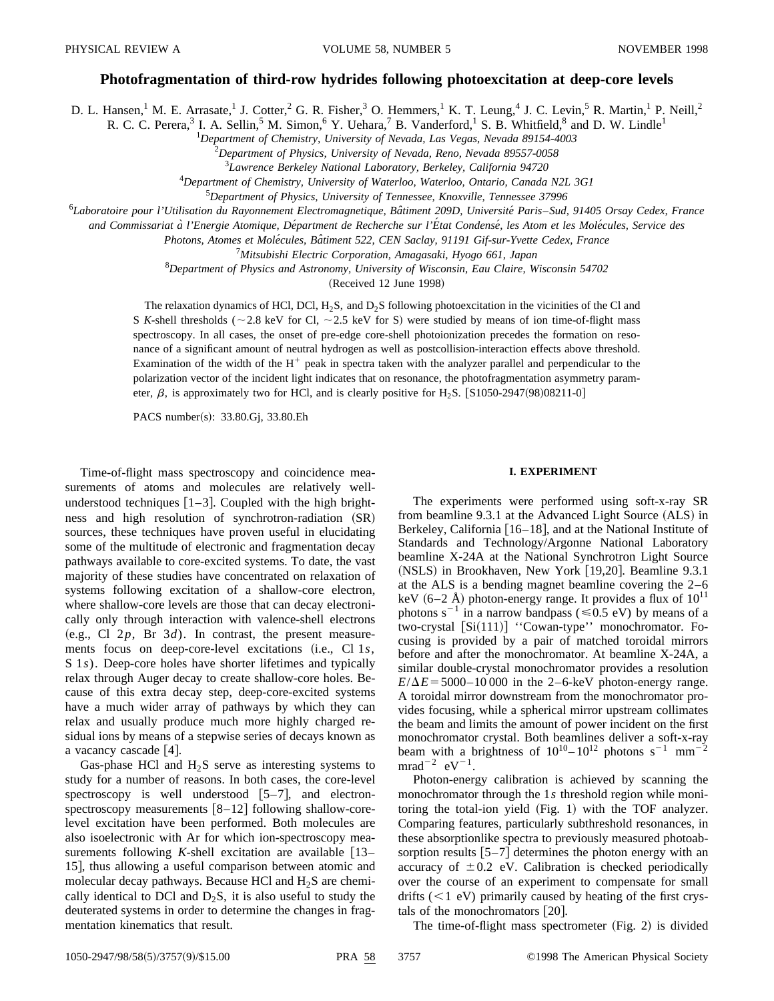#### **Photofragmentation of third-row hydrides following photoexcitation at deep-core levels**

D. L. Hansen,<sup>1</sup> M. E. Arrasate,<sup>1</sup> J. Cotter,<sup>2</sup> G. R. Fisher,<sup>3</sup> O. Hemmers,<sup>1</sup> K. T. Leung,<sup>4</sup> J. C. Levin,<sup>5</sup> R. Martin,<sup>1</sup> P. Neill,<sup>2</sup>

R. C. C. Perera,<sup>3</sup> I. A. Sellin,<sup>5</sup> M. Simon,<sup>6</sup> Y. Uehara,<sup>7</sup> B. Vanderford,<sup>1</sup> S. B. Whitfield,<sup>8</sup> and D. W. Lindle<sup>1</sup>

1 *Department of Chemistry, University of Nevada, Las Vegas, Nevada 89154-4003*

2 *Department of Physics, University of Nevada, Reno, Nevada 89557-0058*

3 *Lawrence Berkeley National Laboratory, Berkeley, California 94720*

4 *Department of Chemistry, University of Waterloo, Waterloo, Ontario, Canada N2L 3G1*

5 *Department of Physics, University of Tennessee, Knoxville, Tennessee 37996*

6 *Laboratoire pour l'Utilisation du Rayonnement Electromagnetique, Baˆtiment 209D, Universite´ Paris*–*Sud, 91405 Orsay Cedex, France*

*and Commissariat a` l'Energie Atomique, De´partment de Recherche sur l'E´tat Condense´, les Atom et les Mole´cules, Service des*

*Photons, Atomes et Mole´cules, Baˆtiment 522, CEN Saclay, 91191 Gif-sur-Yvette Cedex, France*

7 *Mitsubishi Electric Corporation, Amagasaki, Hyogo 661, Japan*

8 *Department of Physics and Astronomy, University of Wisconsin, Eau Claire, Wisconsin 54702*

(Received 12 June 1998)

The relaxation dynamics of HCl, DCl,  $H_2S$ , and  $D_2S$  following photoexcitation in the vicinities of the Cl and S *K*-shell thresholds ( $\sim$  2.8 keV for Cl,  $\sim$  2.5 keV for S) were studied by means of ion time-of-flight mass spectroscopy. In all cases, the onset of pre-edge core-shell photoionization precedes the formation on resonance of a significant amount of neutral hydrogen as well as postcollision-interaction effects above threshold. Examination of the width of the  $H^+$  peak in spectra taken with the analyzer parallel and perpendicular to the polarization vector of the incident light indicates that on resonance, the photofragmentation asymmetry parameter,  $\beta$ , is approximately two for HCl, and is clearly positive for H<sub>2</sub>S. [S1050-2947(98)08211-0]

PACS number(s): 33.80.Gj, 33.80.Eh

Time-of-flight mass spectroscopy and coincidence measurements of atoms and molecules are relatively wellunderstood techniques  $\vert 1-3 \vert$ . Coupled with the high brightness and high resolution of synchrotron-radiation (SR) sources, these techniques have proven useful in elucidating some of the multitude of electronic and fragmentation decay pathways available to core-excited systems. To date, the vast majority of these studies have concentrated on relaxation of systems following excitation of a shallow-core electron, where shallow-core levels are those that can decay electronically only through interaction with valence-shell electrons  $(e.g., Cl 2p, Br 3d)$ . In contrast, the present measurements focus on deep-core-level excitations (i.e., Cl 1*s*, S 1*s*). Deep-core holes have shorter lifetimes and typically relax through Auger decay to create shallow-core holes. Because of this extra decay step, deep-core-excited systems have a much wider array of pathways by which they can relax and usually produce much more highly charged residual ions by means of a stepwise series of decays known as a vacancy cascade  $[4]$ .

Gas-phase HCl and  $H_2S$  serve as interesting systems to study for a number of reasons. In both cases, the core-level spectroscopy is well understood  $[5-7]$ , and electronspectroscopy measurements  $[8-12]$  following shallow-corelevel excitation have been performed. Both molecules are also isoelectronic with Ar for which ion-spectroscopy measurements following *K*-shell excitation are available  $\lceil 13 - \rceil$ 15, thus allowing a useful comparison between atomic and molecular decay pathways. Because HCl and  $H_2S$  are chemically identical to DCl and  $D_2S$ , it is also useful to study the deuterated systems in order to determine the changes in fragmentation kinematics that result.

#### **I. EXPERIMENT**

The experiments were performed using soft-x-ray SR from beamline  $9.3.1$  at the Advanced Light Source  $(ALS)$  in Berkeley, California  $(16–18)$ , and at the National Institute of Standards and Technology/Argonne National Laboratory beamline X-24A at the National Synchrotron Light Source (NSLS) in Brookhaven, New York  $[19,20]$ . Beamline 9.3.1 at the ALS is a bending magnet beamline covering the 2–6 keV  $(6-2 \text{ Å})$  photon-energy range. It provides a flux of  $10^{11}$ photons  $s^{-1}$  in a narrow bandpass ( $\leq 0.5$  eV) by means of a two-crystal [Si(111)] "Cowan-type" monochromator. Focusing is provided by a pair of matched toroidal mirrors before and after the monochromator. At beamline X-24A, a similar double-crystal monochromator provides a resolution  $E/\Delta E$ =5000–10 000 in the 2–6-keV photon-energy range. A toroidal mirror downstream from the monochromator provides focusing, while a spherical mirror upstream collimates the beam and limits the amount of power incident on the first monochromator crystal. Both beamlines deliver a soft-x-ray beam with a brightness of  $10^{10} - 10^{12}$  photons s<sup>-1</sup> mm<sup>-</sup>  $mrad^{-2}$  eV<sup>-1</sup>.

Photon-energy calibration is achieved by scanning the monochromator through the 1*s* threshold region while monitoring the total-ion yield  $(Fig. 1)$  with the TOF analyzer. Comparing features, particularly subthreshold resonances, in these absorptionlike spectra to previously measured photoabsorption results  $[5-7]$  determines the photon energy with an accuracy of  $\pm 0.2$  eV. Calibration is checked periodically over the course of an experiment to compensate for small drifts  $(< 1$  eV) primarily caused by heating of the first crystals of the monochromators  $[20]$ .

The time-of-flight mass spectrometer  $(Fig. 2)$  is divided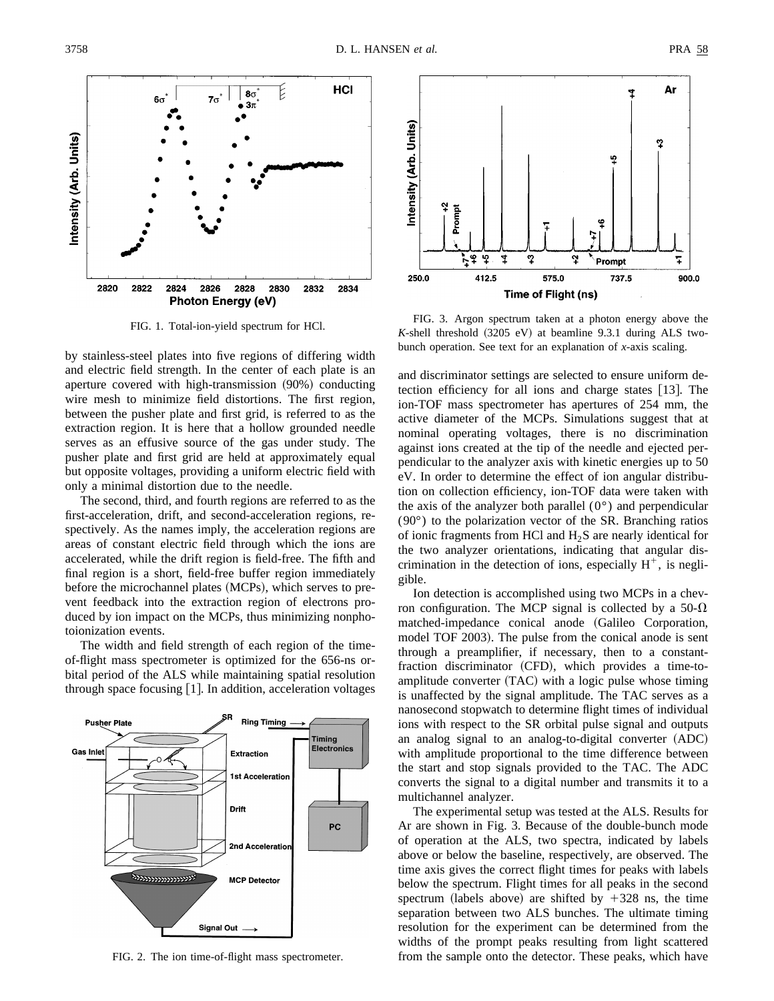

FIG. 1. Total-ion-yield spectrum for HCl.

by stainless-steel plates into five regions of differing width and electric field strength. In the center of each plate is an aperture covered with high-transmission (90%) conducting wire mesh to minimize field distortions. The first region, between the pusher plate and first grid, is referred to as the extraction region. It is here that a hollow grounded needle serves as an effusive source of the gas under study. The pusher plate and first grid are held at approximately equal but opposite voltages, providing a uniform electric field with only a minimal distortion due to the needle.

The second, third, and fourth regions are referred to as the first-acceleration, drift, and second-acceleration regions, respectively. As the names imply, the acceleration regions are areas of constant electric field through which the ions are accelerated, while the drift region is field-free. The fifth and final region is a short, field-free buffer region immediately before the microchannel plates (MCPs), which serves to prevent feedback into the extraction region of electrons produced by ion impact on the MCPs, thus minimizing nonphotoionization events.

The width and field strength of each region of the timeof-flight mass spectrometer is optimized for the 656-ns orbital period of the ALS while maintaining spatial resolution through space focusing  $[1]$ . In addition, acceleration voltages



FIG. 2. The ion time-of-flight mass spectrometer.



FIG. 3. Argon spectrum taken at a photon energy above the  $K$ -shell threshold  $(3205 \text{ eV})$  at beamline 9.3.1 during ALS twobunch operation. See text for an explanation of *x*-axis scaling.

and discriminator settings are selected to ensure uniform detection efficiency for all ions and charge states  $[13]$ . The ion-TOF mass spectrometer has apertures of 254 mm, the active diameter of the MCPs. Simulations suggest that at nominal operating voltages, there is no discrimination against ions created at the tip of the needle and ejected perpendicular to the analyzer axis with kinetic energies up to 50 eV. In order to determine the effect of ion angular distribution on collection efficiency, ion-TOF data were taken with the axis of the analyzer both parallel  $(0^{\circ})$  and perpendicular (90°) to the polarization vector of the SR. Branching ratios of ionic fragments from HCl and  $H_2S$  are nearly identical for the two analyzer orientations, indicating that angular discrimination in the detection of ions, especially  $H^+$ , is negligible.

Ion detection is accomplished using two MCPs in a chevron configuration. The MCP signal is collected by a 50- $\Omega$ matched-impedance conical anode (Galileo Corporation, model TOF 2003). The pulse from the conical anode is sent through a preamplifier, if necessary, then to a constantfraction discriminator (CFD), which provides a time-toamplitude converter  $(TAC)$  with a logic pulse whose timing is unaffected by the signal amplitude. The TAC serves as a nanosecond stopwatch to determine flight times of individual ions with respect to the SR orbital pulse signal and outputs an analog signal to an analog-to-digital converter  $(ADC)$ with amplitude proportional to the time difference between the start and stop signals provided to the TAC. The ADC converts the signal to a digital number and transmits it to a multichannel analyzer.

The experimental setup was tested at the ALS. Results for Ar are shown in Fig. 3. Because of the double-bunch mode of operation at the ALS, two spectra, indicated by labels above or below the baseline, respectively, are observed. The time axis gives the correct flight times for peaks with labels below the spectrum. Flight times for all peaks in the second spectrum (labels above) are shifted by  $+328$  ns, the time separation between two ALS bunches. The ultimate timing resolution for the experiment can be determined from the widths of the prompt peaks resulting from light scattered from the sample onto the detector. These peaks, which have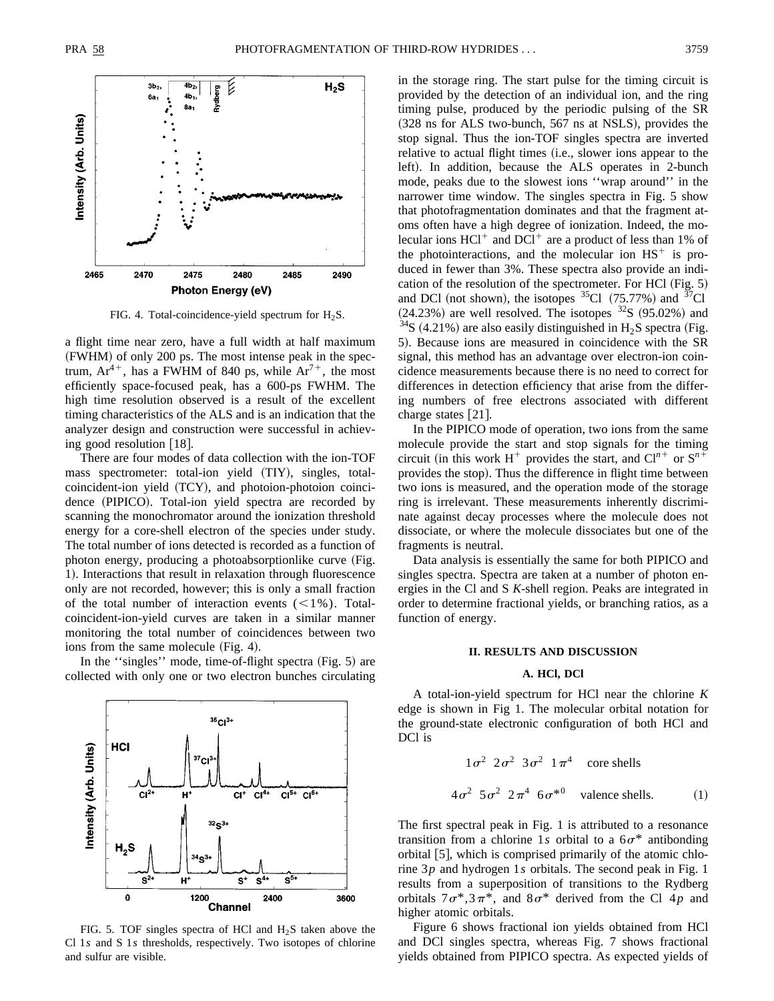

FIG. 4. Total-coincidence-yield spectrum for  $H_2S$ .

a flight time near zero, have a full width at half maximum ~FWHM! of only 200 ps. The most intense peak in the spectrum,  $Ar^{4+}$ , has a FWHM of 840 ps, while  $Ar^{7+}$ , the most efficiently space-focused peak, has a 600-ps FWHM. The high time resolution observed is a result of the excellent timing characteristics of the ALS and is an indication that the analyzer design and construction were successful in achieving good resolution  $[18]$ .

There are four modes of data collection with the ion-TOF mass spectrometer: total-ion yield (TIY), singles, totalcoincident-ion yield (TCY), and photoion-photoion coincidence (PIPICO). Total-ion yield spectra are recorded by scanning the monochromator around the ionization threshold energy for a core-shell electron of the species under study. The total number of ions detected is recorded as a function of photon energy, producing a photoabsorptionlike curve (Fig. 1). Interactions that result in relaxation through fluorescence only are not recorded, however; this is only a small fraction of the total number of interaction events  $(<1%$ ). Totalcoincident-ion-yield curves are taken in a similar manner monitoring the total number of coincidences between two ions from the same molecule  $(Fig. 4)$ .

In the "singles" mode, time-of-flight spectra  $(Fig. 5)$  are collected with only one or two electron bunches circulating



FIG. 5. TOF singles spectra of HCl and  $H_2S$  taken above the Cl 1*s* and S 1*s* thresholds, respectively. Two isotopes of chlorine and sulfur are visible.

in the storage ring. The start pulse for the timing circuit is provided by the detection of an individual ion, and the ring timing pulse, produced by the periodic pulsing of the SR  $(328 \text{ ns}$  for ALS two-bunch, 567 ns at NSLS), provides the stop signal. Thus the ion-TOF singles spectra are inverted relative to actual flight times (i.e., slower ions appear to the left). In addition, because the ALS operates in 2-bunch mode, peaks due to the slowest ions ''wrap around'' in the narrower time window. The singles spectra in Fig. 5 show that photofragmentation dominates and that the fragment atoms often have a high degree of ionization. Indeed, the molecular ions  $HCl^+$  and  $DCl^+$  are a product of less than 1% of the photointeractions, and the molecular ion  $\text{HS}^+$  is produced in fewer than 3%. These spectra also provide an indication of the resolution of the spectrometer. For HCl  $(Fig. 5)$ and DCl (not shown), the isotopes  ${}^{35}$ Cl (75.77%) and  ${}^{37}$ Cl  $(24.23%)$  are well resolved. The isotopes  $32S$   $(95.02%)$  and  $34S$  (4.21%) are also easily distinguished in H<sub>2</sub>S spectra (Fig. 5). Because ions are measured in coincidence with the SR signal, this method has an advantage over electron-ion coincidence measurements because there is no need to correct for differences in detection efficiency that arise from the differing numbers of free electrons associated with different charge states  $[21]$ .

In the PIPICO mode of operation, two ions from the same molecule provide the start and stop signals for the timing circuit (in this work  $H^+$  provides the start, and  $Cl^{n+}$  or  $S^{n+}$ provides the stop). Thus the difference in flight time between two ions is measured, and the operation mode of the storage ring is irrelevant. These measurements inherently discriminate against decay processes where the molecule does not dissociate, or where the molecule dissociates but one of the fragments is neutral.

Data analysis is essentially the same for both PIPICO and singles spectra. Spectra are taken at a number of photon energies in the Cl and S *K*-shell region. Peaks are integrated in order to determine fractional yields, or branching ratios, as a function of energy.

#### **II. RESULTS AND DISCUSSION**

#### **A. HCl, DCl**

A total-ion-yield spectrum for HCl near the chlorine *K* edge is shown in Fig 1. The molecular orbital notation for the ground-state electronic configuration of both HCl and DCl is

$$
1\sigma^2 \ 2\sigma^2 \ 3\sigma^2 \ 1\pi^4 \quad \text{core shells}
$$
  

$$
4\sigma^2 \ 5\sigma^2 \ 2\pi^4 \ 6\sigma^{*0} \quad \text{valence shells.} \tag{1}
$$

The first spectral peak in Fig. 1 is attributed to a resonance transition from a chlorine 1s orbital to a  $6\sigma^*$  antibonding orbital  $[5]$ , which is comprised primarily of the atomic chlorine 3*p* and hydrogen 1*s* orbitals. The second peak in Fig. 1 results from a superposition of transitions to the Rydberg orbitals  $7\sigma^*$ ,  $3\pi^*$ , and  $8\sigma^*$  derived from the Cl 4*p* and higher atomic orbitals.

Figure 6 shows fractional ion yields obtained from HCl and DCl singles spectra, whereas Fig. 7 shows fractional yields obtained from PIPICO spectra. As expected yields of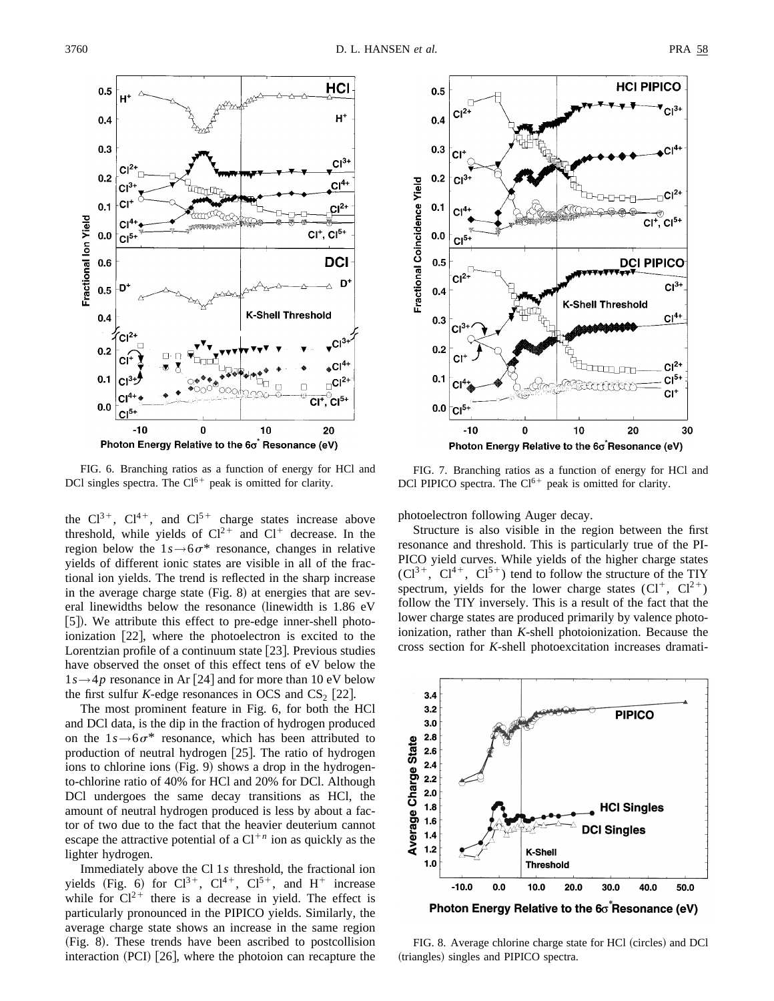

FIG. 6. Branching ratios as a function of energy for HCl and DCl singles spectra. The  $Cl^{6+}$  peak is omitted for clarity.

the  $Cl^{3+}$ ,  $Cl^{4+}$ , and  $Cl^{5+}$  charge states increase above threshold, while yields of  $Cl<sup>2+</sup>$  and  $Cl<sup>+</sup>$  decrease. In the region below the  $1s \rightarrow 6\sigma^*$  resonance, changes in relative yields of different ionic states are visible in all of the fractional ion yields. The trend is reflected in the sharp increase in the average charge state  $(Fig. 8)$  at energies that are several linewidths below the resonance (linewidth is  $1.86$  eV [5]). We attribute this effect to pre-edge inner-shell photoionization  $[22]$ , where the photoelectron is excited to the Lorentzian profile of a continuum state  $\vert 23 \vert$ . Previous studies have observed the onset of this effect tens of eV below the  $1s \rightarrow 4p$  resonance in Ar [24] and for more than 10 eV below the first sulfur *K*-edge resonances in OCS and  $CS_2$  [22].

The most prominent feature in Fig. 6, for both the HCl and DCl data, is the dip in the fraction of hydrogen produced on the  $1s \rightarrow 6\sigma^*$  resonance, which has been attributed to production of neutral hydrogen  $[25]$ . The ratio of hydrogen ions to chlorine ions  $(Fig. 9)$  shows a drop in the hydrogento-chlorine ratio of 40% for HCl and 20% for DCl. Although DCl undergoes the same decay transitions as HCl, the amount of neutral hydrogen produced is less by about a factor of two due to the fact that the heavier deuterium cannot escape the attractive potential of a  $Cl<sup>+n</sup>$  ion as quickly as the lighter hydrogen.

Immediately above the Cl 1*s* threshold, the fractional ion yields (Fig. 6) for  $Cl^{3+}$ ,  $Cl^{4+}$ ,  $Cl^{5+}$ , and H<sup>+</sup> increase while for  $Cl<sup>2+</sup>$  there is a decrease in yield. The effect is particularly pronounced in the PIPICO yields. Similarly, the average charge state shows an increase in the same region (Fig. 8). These trends have been ascribed to postcollision interaction  $(PCI)$   $[26]$ , where the photoion can recapture the



FIG. 7. Branching ratios as a function of energy for HCl and DCl PIPICO spectra. The  $Cl^{6+}$  peak is omitted for clarity.

photoelectron following Auger decay.

Structure is also visible in the region between the first resonance and threshold. This is particularly true of the PI-PICO yield curves. While yields of the higher charge states  $(Cl^{3+}, Cl^{4+}, Cl^{5+})$  tend to follow the structure of the TIY spectrum, yields for the lower charge states  $(Cl^+, Cl^{2+})$ follow the TIY inversely. This is a result of the fact that the lower charge states are produced primarily by valence photoionization, rather than *K*-shell photoionization. Because the cross section for *K*-shell photoexcitation increases dramati-



Photon Energy Relative to the  $6\sigma$  Resonance (eV)

FIG. 8. Average chlorine charge state for HCl (circles) and DCl (triangles) singles and PIPICO spectra.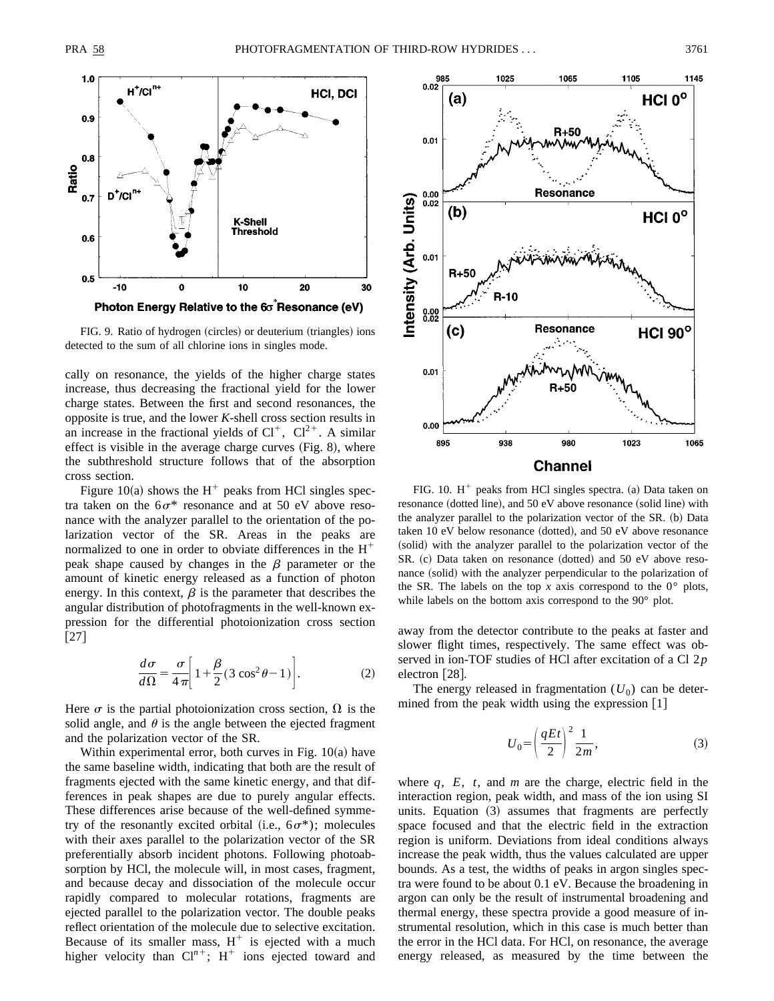

FIG. 9. Ratio of hydrogen (circles) or deuterium (triangles) ions detected to the sum of all chlorine ions in singles mode.

cally on resonance, the yields of the higher charge states increase, thus decreasing the fractional yield for the lower charge states. Between the first and second resonances, the opposite is true, and the lower *K*-shell cross section results in an increase in the fractional yields of  $Cl^+$ ,  $Cl^{2+}$ . A similar effect is visible in the average charge curves  $(Fig. 8)$ , where the subthreshold structure follows that of the absorption cross section.

Figure 10(a) shows the  $H^+$  peaks from HCl singles spectra taken on the  $6\sigma^*$  resonance and at 50 eV above resonance with the analyzer parallel to the orientation of the polarization vector of the SR. Areas in the peaks are normalized to one in order to obviate differences in the  $H^+$ peak shape caused by changes in the  $\beta$  parameter or the amount of kinetic energy released as a function of photon energy. In this context,  $\beta$  is the parameter that describes the angular distribution of photofragments in the well-known expression for the differential photoionization cross section  $[27]$ 

$$
\frac{d\sigma}{d\Omega} = \frac{\sigma}{4\pi} \left[ 1 + \frac{\beta}{2} (3\cos^2\theta - 1) \right].
$$
 (2)

Here  $\sigma$  is the partial photoionization cross section,  $\Omega$  is the solid angle, and  $\theta$  is the angle between the ejected fragment and the polarization vector of the SR.

Within experimental error, both curves in Fig.  $10(a)$  have the same baseline width, indicating that both are the result of fragments ejected with the same kinetic energy, and that differences in peak shapes are due to purely angular effects. These differences arise because of the well-defined symmetry of the resonantly excited orbital (i.e.,  $6\sigma^*$ ); molecules with their axes parallel to the polarization vector of the SR preferentially absorb incident photons. Following photoabsorption by HCl, the molecule will, in most cases, fragment, and because decay and dissociation of the molecule occur rapidly compared to molecular rotations, fragments are ejected parallel to the polarization vector. The double peaks reflect orientation of the molecule due to selective excitation. Because of its smaller mass,  $H^+$  is ejected with a much higher velocity than  $Cl^{n+}$ ; H<sup>+</sup> ions ejected toward and



FIG. 10.  $H^+$  peaks from HCl singles spectra. (a) Data taken on resonance (dotted line), and  $50 \text{ eV}$  above resonance (solid line) with the analyzer parallel to the polarization vector of the SR. (b) Data taken  $10$  eV below resonance (dotted), and  $50$  eV above resonance (solid) with the analyzer parallel to the polarization vector of the  $SR. (c)$  Data taken on resonance (dotted) and 50 eV above resonance (solid) with the analyzer perpendicular to the polarization of the SR. The labels on the top *x* axis correspond to the  $0^{\circ}$  plots, while labels on the bottom axis correspond to the 90° plot.

away from the detector contribute to the peaks at faster and slower flight times, respectively. The same effect was observed in ion-TOF studies of HCl after excitation of a Cl 2*p* electron [28].

The energy released in fragmentation  $(U_0)$  can be determined from the peak width using the expression  $[1]$ 

$$
U_0 = \left(\frac{qEt}{2}\right)^2 \frac{1}{2m},\tag{3}
$$

where *q*, *E*, *t*, and *m* are the charge, electric field in the interaction region, peak width, and mass of the ion using SI units. Equation  $(3)$  assumes that fragments are perfectly space focused and that the electric field in the extraction region is uniform. Deviations from ideal conditions always increase the peak width, thus the values calculated are upper bounds. As a test, the widths of peaks in argon singles spectra were found to be about 0.1 eV. Because the broadening in argon can only be the result of instrumental broadening and thermal energy, these spectra provide a good measure of instrumental resolution, which in this case is much better than the error in the HCl data. For HCl, on resonance, the average energy released, as measured by the time between the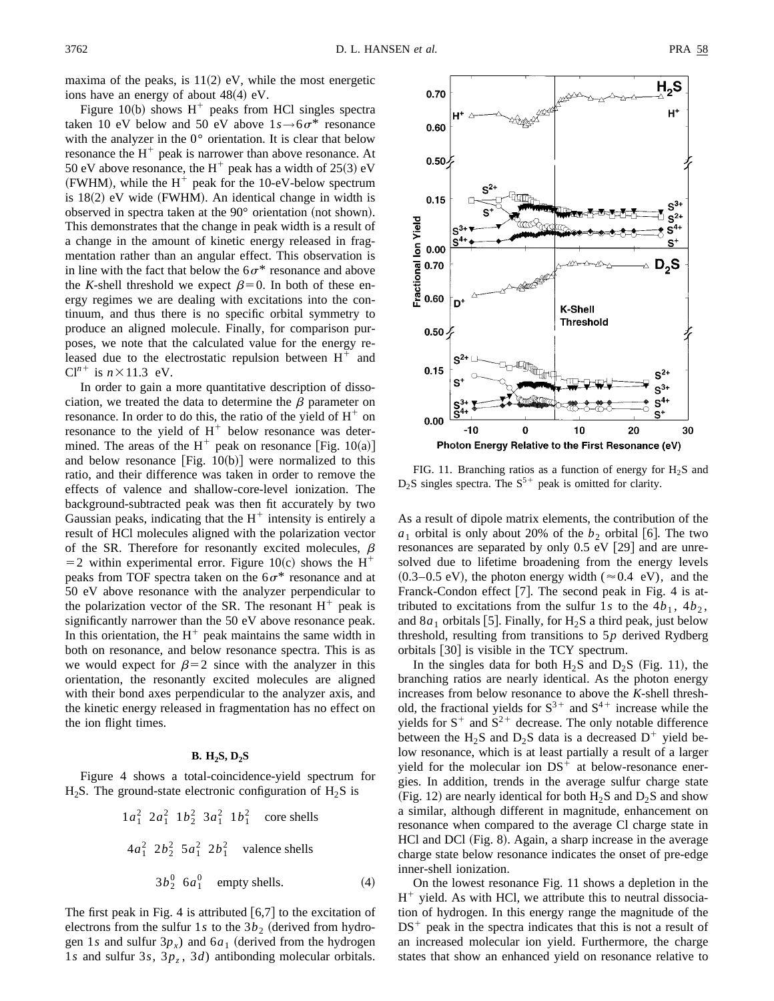maxima of the peaks, is  $11(2)$  eV, while the most energetic ions have an energy of about  $48(4)$  eV.

Figure 10(b) shows  $H^+$  peaks from HCl singles spectra taken 10 eV below and 50 eV above  $1s \rightarrow 6\sigma^*$  resonance with the analyzer in the 0° orientation. It is clear that below resonance the  $H^+$  peak is narrower than above resonance. At 50 eV above resonance, the H<sup>+</sup> peak has a width of  $25(3)$  eV (FWHM), while the  $H^+$  peak for the 10-eV-below spectrum is  $18(2)$  eV wide (FWHM). An identical change in width is observed in spectra taken at the  $90^{\circ}$  orientation (not shown). This demonstrates that the change in peak width is a result of a change in the amount of kinetic energy released in fragmentation rather than an angular effect. This observation is in line with the fact that below the  $6\sigma^*$  resonance and above the *K*-shell threshold we expect  $\beta=0$ . In both of these energy regimes we are dealing with excitations into the continuum, and thus there is no specific orbital symmetry to produce an aligned molecule. Finally, for comparison purposes, we note that the calculated value for the energy released due to the electrostatic repulsion between  $H^+$  and  $Cl<sup>n+</sup>$  is  $n \times 11.3$  eV.

In order to gain a more quantitative description of dissociation, we treated the data to determine the  $\beta$  parameter on resonance. In order to do this, the ratio of the yield of  $H^+$  on resonance to the yield of  $H^+$  below resonance was determined. The areas of the  $H^+$  peak on resonance [Fig. 10(a)] and below resonance  $[Fig. 10(b)]$  were normalized to this ratio, and their difference was taken in order to remove the effects of valence and shallow-core-level ionization. The background-subtracted peak was then fit accurately by two Gaussian peaks, indicating that the  $H^+$  intensity is entirely a result of HCl molecules aligned with the polarization vector of the SR. Therefore for resonantly excited molecules,  $\beta$  $=$  2 within experimental error. Figure 10(c) shows the H<sup>+</sup> peaks from TOF spectra taken on the  $6\sigma^*$  resonance and at 50 eV above resonance with the analyzer perpendicular to the polarization vector of the SR. The resonant  $H^+$  peak is significantly narrower than the 50 eV above resonance peak. In this orientation, the  $H^+$  peak maintains the same width in both on resonance, and below resonance spectra. This is as we would expect for  $\beta=2$  since with the analyzer in this orientation, the resonantly excited molecules are aligned with their bond axes perpendicular to the analyzer axis, and the kinetic energy released in fragmentation has no effect on the ion flight times.

#### **B. H2S, D2S**

Figure 4 shows a total-coincidence-yield spectrum for  $H_2S$ . The ground-state electronic configuration of  $H_2S$  is

$$
1a_1^2 \t 2a_1^2 \t 1b_2^2 \t 3a_1^2 \t 1b_1^2 \t \text{core shells}
$$
  

$$
4a_1^2 \t 2b_2^2 \t 5a_1^2 \t 2b_1^2 \t \text{valence shells}
$$
  

$$
3b_2^0 \t 6a_1^0 \t empty shells. \t(4)
$$

The first peak in Fig. 4 is attributed  $[6,7]$  to the excitation of electrons from the sulfur 1*s* to the  $3b_2$  (derived from hydrogen 1*s* and sulfur  $3p_x$ ) and  $6a_1$  (derived from the hydrogen 1*s* and sulfur 3*s*,  $3p_z$ , 3*d*) antibonding molecular orbitals.



FIG. 11. Branching ratios as a function of energy for  $H_2S$  and  $D_2S$  singles spectra. The  $S^{5+}$  peak is omitted for clarity.

As a result of dipole matrix elements, the contribution of the  $a_1$  orbital is only about 20% of the  $b_2$  orbital [6]. The two resonances are separated by only  $0.5$  eV  $[29]$  and are unresolved due to lifetime broadening from the energy levels  $(0.3-0.5 \text{ eV})$ , the photon energy width ( $\approx 0.4 \text{ eV}$ ), and the Franck-Condon effect  $[7]$ . The second peak in Fig. 4 is attributed to excitations from the sulfur 1s to the  $4b_1$ ,  $4b_2$ , and  $8a_1$  orbitals [5]. Finally, for  $H_2S$  a third peak, just below threshold, resulting from transitions to 5*p* derived Rydberg orbitals [30] is visible in the TCY spectrum.

In the singles data for both  $H_2S$  and  $D_2S$  (Fig. 11), the branching ratios are nearly identical. As the photon energy increases from below resonance to above the *K*-shell threshold, the fractional yields for  $S^{3+}$  and  $S^{4+}$  increase while the yields for  $S^+$  and  $S^2$ <sup>+</sup> decrease. The only notable difference between the H<sub>2</sub>S and D<sub>2</sub>S data is a decreased  $D^+$  yield below resonance, which is at least partially a result of a larger yield for the molecular ion  $DS<sup>+</sup>$  at below-resonance energies. In addition, trends in the average sulfur charge state (Fig. 12) are nearly identical for both  $H_2S$  and  $D_2S$  and show a similar, although different in magnitude, enhancement on resonance when compared to the average Cl charge state in HCl and DCl (Fig. 8). Again, a sharp increase in the average charge state below resonance indicates the onset of pre-edge inner-shell ionization.

On the lowest resonance Fig. 11 shows a depletion in the  $H^+$  yield. As with HCl, we attribute this to neutral dissociation of hydrogen. In this energy range the magnitude of the  $DS<sup>+</sup>$  peak in the spectra indicates that this is not a result of an increased molecular ion yield. Furthermore, the charge states that show an enhanced yield on resonance relative to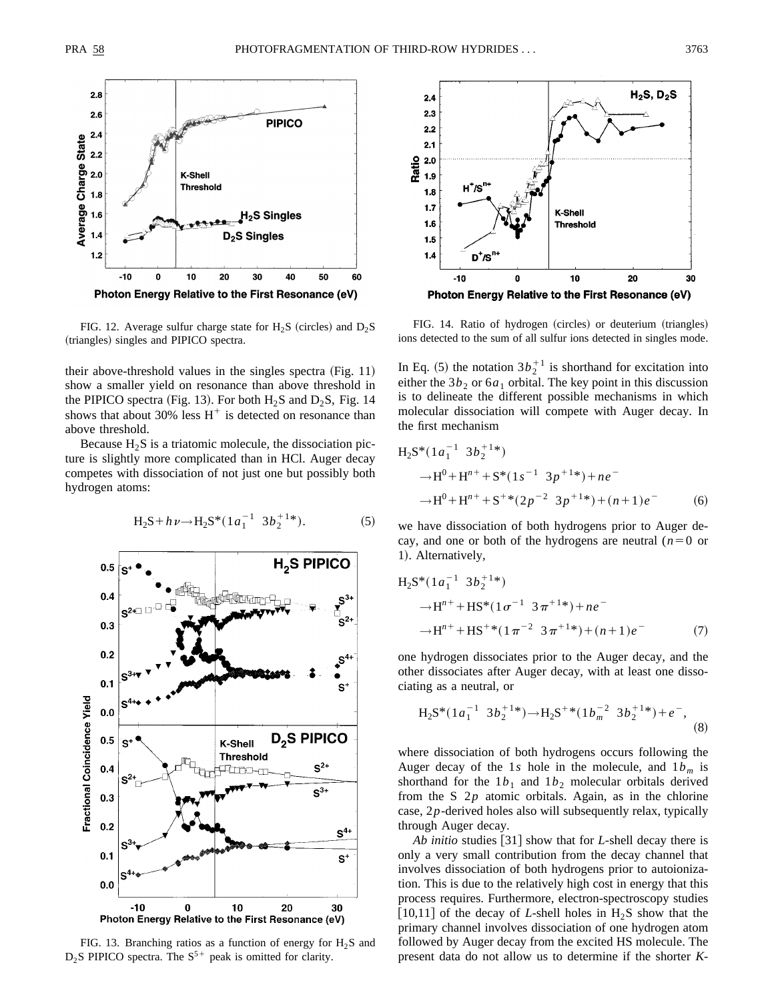

FIG. 12. Average sulfur charge state for  $H_2S$  (circles) and  $D_2S$ (triangles) singles and PIPICO spectra.

their above-threshold values in the singles spectra  $(Fig. 11)$ show a smaller yield on resonance than above threshold in the PIPICO spectra (Fig. 13). For both  $H_2S$  and  $D_2S$ , Fig. 14 shows that about 30% less  $H^+$  is detected on resonance than above threshold.

Because  $H_2S$  is a triatomic molecule, the dissociation picture is slightly more complicated than in HCl. Auger decay competes with dissociation of not just one but possibly both hydrogen atoms:



$$
H_2S + h\nu \to H_2S^*(1a_1^{-1} 3b_2^{+1*}).
$$
 (5)

FIG. 13. Branching ratios as a function of energy for  $H_2S$  and  $D_2$ S PIPICO spectra. The S<sup>5+</sup> peak is omitted for clarity.



FIG. 14. Ratio of hydrogen (circles) or deuterium (triangles) ions detected to the sum of all sulfur ions detected in singles mode.

In Eq. (5) the notation  $3b_2^{+1}$  is shorthand for excitation into either the  $3b_2$  or  $6a_1$  orbital. The key point in this discussion is to delineate the different possible mechanisms in which molecular dissociation will compete with Auger decay. In the first mechanism

$$
H_2S^*(1a_1^{-1} 3b_2^{+1*})
$$
  
\n
$$
\rightarrow H^0 + H^{n+} + S^*(1s^{-1} 3p^{+1*}) + ne^-
$$
  
\n
$$
\rightarrow H^0 + H^{n+} + S^{+*}(2p^{-2} 3p^{+1*}) + (n+1)e^-
$$
 (6)

we have dissociation of both hydrogens prior to Auger decay, and one or both of the hydrogens are neutral  $(n=0)$  or 1). Alternatively,

$$
H_2S^*(1a_1^{-1} 3b_2^{+1*})
$$
  
\n
$$
\rightarrow H^{n+} + HS^*(1\sigma^{-1} 3\pi^{+1*}) + ne^-
$$
  
\n
$$
\rightarrow H^{n+} + HS^{+*}(1\pi^{-2} 3\pi^{+1*}) + (n+1)e^-
$$
\n(7)

one hydrogen dissociates prior to the Auger decay, and the other dissociates after Auger decay, with at least one dissociating as a neutral, or

$$
H_2S^*(1a_1^{-1} 3b_2^{+1*}) \to H_2S^{+*}(1b_m^{-2} 3b_2^{+1*}) + e^-,
$$
\n(8)

where dissociation of both hydrogens occurs following the Auger decay of the 1s hole in the molecule, and  $1b_m$  is shorthand for the  $1b_1$  and  $1b_2$  molecular orbitals derived from the S 2*p* atomic orbitals. Again, as in the chlorine case, 2*p*-derived holes also will subsequently relax, typically through Auger decay.

*Ab initio* studies [31] show that for *L*-shell decay there is only a very small contribution from the decay channel that involves dissociation of both hydrogens prior to autoionization. This is due to the relatively high cost in energy that this process requires. Furthermore, electron-spectroscopy studies [10,11] of the decay of *L*-shell holes in  $H_2S$  show that the primary channel involves dissociation of one hydrogen atom followed by Auger decay from the excited HS molecule. The present data do not allow us to determine if the shorter *K*-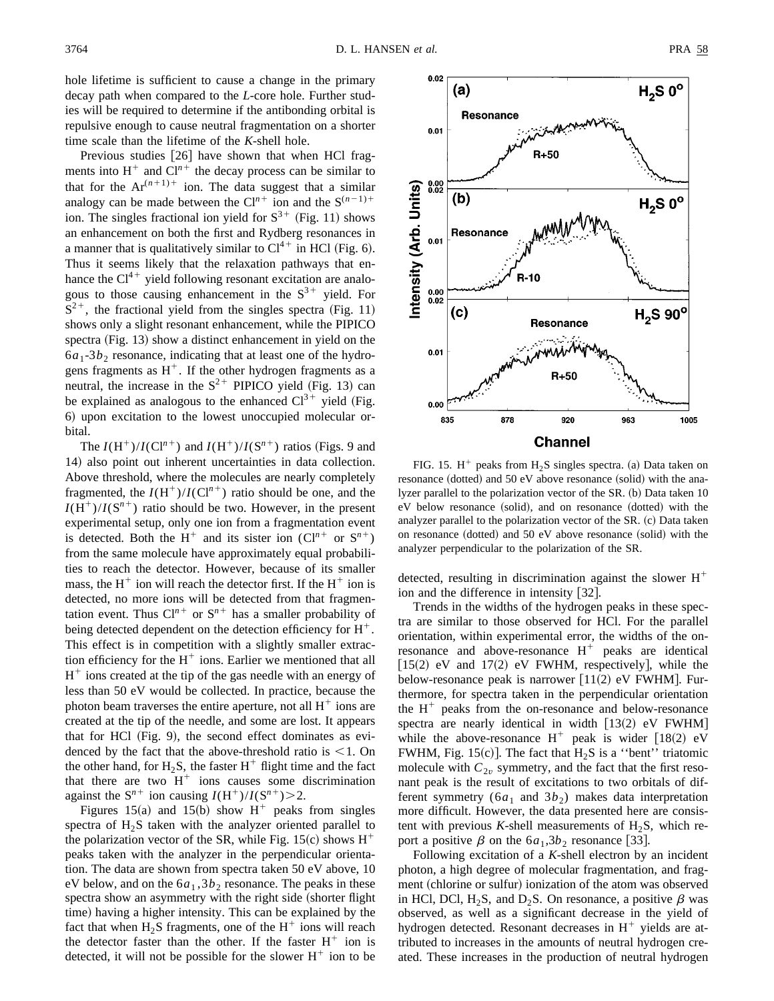hole lifetime is sufficient to cause a change in the primary decay path when compared to the *L*-core hole. Further studies will be required to determine if the antibonding orbital is repulsive enough to cause neutral fragmentation on a shorter time scale than the lifetime of the *K*-shell hole.

Previous studies  $[26]$  have shown that when HCl fragments into  $H^+$  and  $Cl^{n+}$  the decay process can be similar to that for the  $Ar^{(n+1)+}$  ion. The data suggest that a similar analogy can be made between the  $Cl<sup>n+</sup>$  ion and the  $S<sup>(n-1)+</sup>$ ion. The singles fractional ion yield for  $S^{3+}$  (Fig. 11) shows an enhancement on both the first and Rydberg resonances in a manner that is qualitatively similar to  $Cl<sup>4+</sup>$  in HCl (Fig. 6). Thus it seems likely that the relaxation pathways that enhance the  $Cl<sup>4+</sup>$  yield following resonant excitation are analogous to those causing enhancement in the  $S^{3+}$  yield. For  $S^{2+}$ , the fractional yield from the singles spectra (Fig. 11) shows only a slight resonant enhancement, while the PIPICO spectra  $(Fig. 13)$  show a distinct enhancement in yield on the  $6a_1-3b_2$  resonance, indicating that at least one of the hydrogens fragments as  $H^+$ . If the other hydrogen fragments as a neutral, the increase in the  $S^{2+}$  PIPICO yield (Fig. 13) can be explained as analogous to the enhanced  $Cl<sup>3+</sup>$  yield (Fig. 6) upon excitation to the lowest unoccupied molecular orbital.

The  $I(H^+)/I(Cl^{n+})$  and  $I(H^+)/I(S^{n+})$  ratios (Figs. 9 and 14) also point out inherent uncertainties in data collection. Above threshold, where the molecules are nearly completely fragmented, the  $I(H^+)/I(Cl^{n+})$  ratio should be one, and the  $I(H^+)/I(S^{n+})$  ratio should be two. However, in the present experimental setup, only one ion from a fragmentation event is detected. Both the H<sup>+</sup> and its sister ion  $(Cl^{n+}$  or  $S^{n+})$ from the same molecule have approximately equal probabilities to reach the detector. However, because of its smaller mass, the  $H^+$  ion will reach the detector first. If the  $H^+$  ion is detected, no more ions will be detected from that fragmentation event. Thus  $Cl^{n+}$  or  $S^{n+}$  has a smaller probability of being detected dependent on the detection efficiency for  $H^+$ . This effect is in competition with a slightly smaller extraction efficiency for the  $H^+$  ions. Earlier we mentioned that all  $H^+$  ions created at the tip of the gas needle with an energy of less than 50 eV would be collected. In practice, because the photon beam traverses the entire aperture, not all  $H^+$  ions are created at the tip of the needle, and some are lost. It appears that for HCl  $(Fig. 9)$ , the second effect dominates as evidenced by the fact that the above-threshold ratio is  $\leq 1$ . On the other hand, for  $H_2S$ , the faster  $H^+$  flight time and the fact that there are two  $H^+$  ions causes some discrimination against the  $S^{n+}$  ion causing  $I(H^+)/I(S^{n+})>2$ .

Figures 15(a) and 15(b) show  $H^+$  peaks from singles spectra of  $H_2S$  taken with the analyzer oriented parallel to the polarization vector of the SR, while Fig. 15(c) shows  $H^+$ peaks taken with the analyzer in the perpendicular orientation. The data are shown from spectra taken 50 eV above, 10 eV below, and on the  $6a_1$ ,  $3b_2$  resonance. The peaks in these spectra show an asymmetry with the right side (shorter flight time) having a higher intensity. This can be explained by the fact that when  $H_2S$  fragments, one of the  $H^+$  ions will reach the detector faster than the other. If the faster  $H^+$  ion is detected, it will not be possible for the slower  $H^+$  ion to be



FIG. 15.  $H^+$  peaks from  $H_2S$  singles spectra. (a) Data taken on resonance (dotted) and 50 eV above resonance (solid) with the analyzer parallel to the polarization vector of the SR. (b) Data taken 10 eV below resonance (solid), and on resonance (dotted) with the analyzer parallel to the polarization vector of the  $SR$ .  $(c)$  Data taken on resonance (dotted) and  $50$  eV above resonance (solid) with the analyzer perpendicular to the polarization of the SR.

detected, resulting in discrimination against the slower  $H^+$ ion and the difference in intensity  $[32]$ .

Trends in the widths of the hydrogen peaks in these spectra are similar to those observed for HCl. For the parallel orientation, within experimental error, the widths of the onresonance and above-resonance  $H^+$  peaks are identical  $[15(2)$  eV and  $17(2)$  eV FWHM, respectively], while the below-resonance peak is narrower  $[11(2)$  eV FWHM. Furthermore, for spectra taken in the perpendicular orientation the  $H^+$  peaks from the on-resonance and below-resonance spectra are nearly identical in width  $[13(2)$  eV FWHM] while the above-resonance  $H^+$  peak is wider [18(2) eV FWHM, Fig. 15 $(c)$ ]. The fact that H<sub>2</sub>S is a "bent" triatomic molecule with  $C_{2v}$  symmetry, and the fact that the first resonant peak is the result of excitations to two orbitals of different symmetry  $(6a_1 \text{ and } 3b_2)$  makes data interpretation more difficult. However, the data presented here are consistent with previous  $K$ -shell measurements of  $H_2S$ , which report a positive  $\beta$  on the  $6a_1,3b_2$  resonance [33].

Following excitation of a *K*-shell electron by an incident photon, a high degree of molecular fragmentation, and fragment (chlorine or sulfur) ionization of the atom was observed in HCl, DCl, H<sub>2</sub>S, and D<sub>2</sub>S. On resonance, a positive  $\beta$  was observed, as well as a significant decrease in the yield of hydrogen detected. Resonant decreases in  $H^+$  yields are attributed to increases in the amounts of neutral hydrogen created. These increases in the production of neutral hydrogen